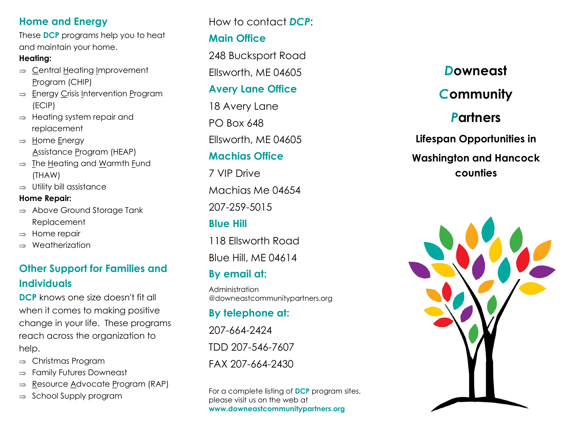### **Home and Energy**

These **DCP** programs help you to heat and maintain your home.

#### **Heating:**

- $\Rightarrow$  Central Heating Improvement Program (CHIP)
- $\Rightarrow$  Energy Crisis Intervention Program (ECIP)
- $\Rightarrow$  Heating system repair and replacement
- $\Rightarrow$  Home Energy Assistance Program (HEAP)
- $\Rightarrow$  The Heating and Warmth Fund (THAW)
- $\Rightarrow$  Utility bill assistance

#### **Home Repair:**

- $\Rightarrow$  Above Ground Storage Tank Replacement
- $\Rightarrow$  Home repair
- $\Rightarrow$  Weatherization

### **Other Support for Families and Individuals**

**DCP** knows one size doesn't fit all when it comes to making positive change in your life. These programs reach across the organization to help.

- $\Rightarrow$  Christmas Program
- $\Rightarrow$  Family Futures Downeast
- $\Rightarrow$  Resource Advocate Program (RAP)
- $\Rightarrow$  School Supply program

How to contact *DCP*:

### **Main Office**

248 Bucksport Road Ellsworth, ME 04605

### **Avery Lane Office**

18 Avery Lane PO Box 648 Ellsworth, ME 04605

### **Machias Office**

7 VIP Drive Machias Me 04654 207-259-5015 **Blue Hill**

118 Ellsworth Road Blue Hill, ME 04614

# **By email at:**

Administration @downeastcommunitypartners.org

# **By telephone at:**

207-664-2424 TDD 207-546-7607 FAX 207-664-2430

For a complete listing of **DCP** program sites, please visit us on the web at **www.downeastcommunitypartners.org**

# *D***owneast**  *C***ommunity**  *P***artners Lifespan Opportunities in Washington and Hancock**

# **counties**